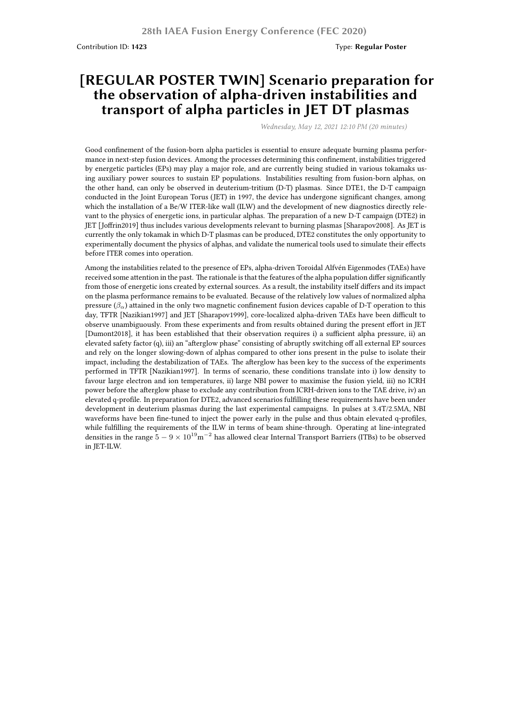Contribution ID: **1423** Type: **Regular Poster**

## **[REGULAR POSTER TWIN] Scenario preparation for the observation of alpha-driven instabilities and transport of alpha particles in JET DT plasmas**

*Wednesday, May 12, 2021 12:10 PM (20 minutes)*

Good confinement of the fusion-born alpha particles is essential to ensure adequate burning plasma performance in next-step fusion devices. Among the processes determining this confinement, instabilities triggered by energetic particles (EPs) may play a major role, and are currently being studied in various tokamaks using auxiliary power sources to sustain EP populations. Instabilities resulting from fusion-born alphas, on the other hand, can only be observed in deuterium-tritium (D-T) plasmas. Since DTE1, the D-T campaign conducted in the Joint European Torus (JET) in 1997, the device has undergone significant changes, among which the installation of a Be/W ITER-like wall (ILW) and the development of new diagnostics directly relevant to the physics of energetic ions, in particular alphas. The preparation of a new D-T campaign (DTE2) in JET [Joffrin2019] thus includes various developments relevant to burning plasmas [Sharapov2008]. As JET is currently the only tokamak in which D-T plasmas can be produced, DTE2 constitutes the only opportunity to experimentally document the physics of alphas, and validate the numerical tools used to simulate their effects before ITER comes into operation.

Among the instabilities related to the presence of EPs, alpha-driven Toroidal Alfvén Eigenmodes (TAEs) have received some attention in the past. The rationale is that the features of the alpha population differ significantly from those of energetic ions created by external sources. As a result, the instability itself differs and its impact on the plasma performance remains to be evaluated. Because of the relatively low values of normalized alpha pressure  $(\beta_\alpha)$  attained in the only two magnetic confinement fusion devices capable of D-T operation to this day, TFTR [Nazikian1997] and JET [Sharapov1999], core-localized alpha-driven TAEs have been difficult to observe unambiguously. From these experiments and from results obtained during the present effort in JET [Dumont2018], it has been established that their observation requires i) a sufficient alpha pressure, ii) an elevated safety factor (q), iii) an "afterglow phase" consisting of abruptly switching off all external EP sources and rely on the longer slowing-down of alphas compared to other ions present in the pulse to isolate their impact, including the destabilization of TAEs. The afterglow has been key to the success of the experiments performed in TFTR [Nazikian1997]. In terms of scenario, these conditions translate into i) low density to favour large electron and ion temperatures, ii) large NBI power to maximise the fusion yield, iii) no ICRH power before the afterglow phase to exclude any contribution from ICRH-driven ions to the TAE drive, iv) an elevated q-profile. In preparation for DTE2, advanced scenarios fulfilling these requirements have been under development in deuterium plasmas during the last experimental campaigns. In pulses at 3.4T/2.5MA, NBI waveforms have been fine-tuned to inject the power early in the pulse and thus obtain elevated q-profiles, while fulfilling the requirements of the ILW in terms of beam shine-through. Operating at line-integrated densities in the range  $5 - 9 \times 10^{19}$ m<sup>-2</sup> has allowed clear Internal Transport Barriers (ITBs) to be observed in JET-ILW.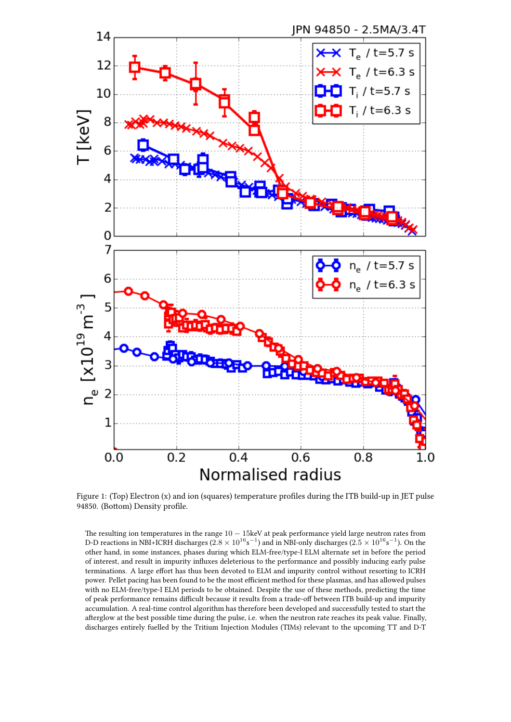

Figure 1: (Top) Electron (x) and ion (squares) temperature profiles during the ITB build-up in JET pulse 94850. (Bottom) Density profile.

The resulting ion temperatures in the range 10 *−* 15keV at peak performance yield large neutron rates from D-D reactions in NBI+ICRH discharges (2.8  $\times$   $10^{16}$ s<sup>-1</sup>) and in NBI-only discharges (2.5  $\times$   $10^{16}$ s<sup>-1</sup>). On the other hand, in some instances, phases during which ELM-free/type-I ELM alternate set in before the period of interest, and result in impurity influxes deleterious to the performance and possibly inducing early pulse terminations. A large effort has thus been devoted to ELM and impurity control without resorting to ICRH power. Pellet pacing has been found to be the most efficient method for these plasmas, and has allowed pulses with no ELM-free/type-I ELM periods to be obtained. Despite the use of these methods, predicting the time of peak performance remains difficult because it results from a trade-off between ITB build-up and impurity accumulation. A real-time control algorithm has therefore been developed and successfully tested to start the afterglow at the best possible time during the pulse, i.e. when the neutron rate reaches its peak value. Finally, discharges entirely fuelled by the Tritium Injection Modules (TIMs) relevant to the upcoming TT and D-T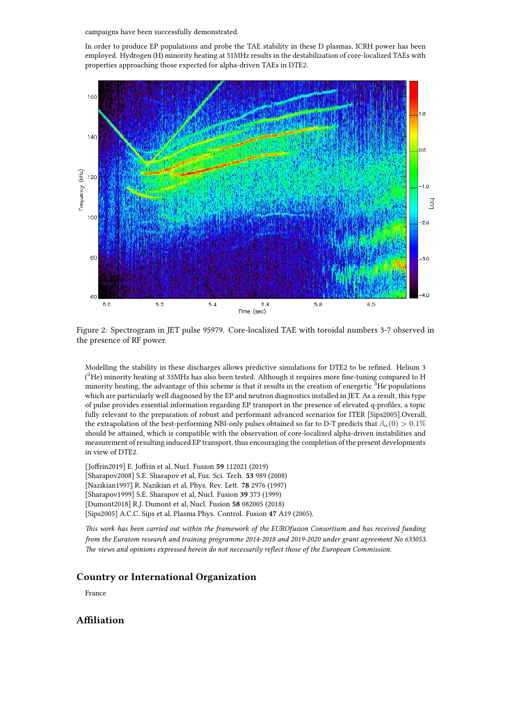campaigns have been successfully demonstrated.

In order to produce EP populations and probe the TAE stability in these D plasmas, ICRH power has been employed. Hydrogen (H) minority heating at 51MHz results in the destabilization of core-localized TAEs with properties approaching those expected for alpha-driven TAEs in DTE2.



Figure 2: Spectrogram in JET pulse 95979. Core-localized TAE with toroidal numbers 3-7 observed in the presence of RF power.

Modelling the stability in these discharges allows predictive simulations for DTE2 to be refined. Helium 3  $(^3\text{He})$  minority heating at 33MHz has also been tested. Although it requires more fine-tuning compared to H minority heating, the advantage of this scheme is that it results in the creation of energetic <sup>3</sup>He populations which are particularly well diagnosed by the EP and neutron diagnostics installed in JET. As a result, this type of pulse provides essential information regarding EP transport in the presence of elevated q-profiles, a topic fully relevant to the preparation of robust and performant advanced scenarios for ITER [Sips2005].Overall, the extrapolation of the best-performing NBI-only pulses obtained so far to D-T predicts that  $\beta_{\alpha}(0) > 0.1\%$ should be attained, which is compatible with the observation of core-localized alpha-driven instabilities and measurement of resulting induced EP transport, thus encouraging the completion of the present developments in view of DTE2.

[Joffrin2019] E. Joffrin et al, Nucl. Fusion **59** 112021 (2019) [Sharapov2008] S.E. Sharapov et al, Fus. Sci. Tech. **53** 989 (2008)

[Nazikian1997] R. Nazikian et al, Phys. Rev. Lett. **78** 2976 (1997)

[Sharapov1999] S.E. Sharapov et al, Nucl. Fusion **39** 373 (1999)

[Dumont2018] R.J. Dumont et al, Nucl. Fusion **58** 082005 (2018)

[Sips2005] A.C.C. Sips et al, Plasma Phys. Control. Fusion **47** A19 (2005).

*This work has been carried out within the framework of the EUROfusion Consortium and has received funding from the Euratom research and training programme 2014-2018 and 2019-2020 under grant agreement No 633053. The views and opinions expressed herein do not necessarily reflect those of the European Commission.*

## **Country or International Organization**

France

## **Affiliation**